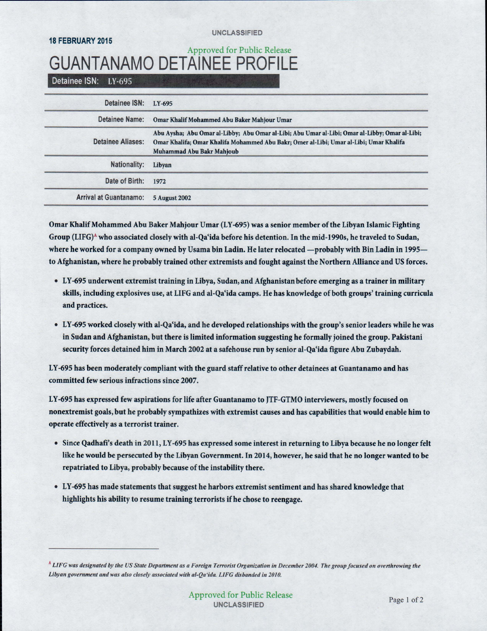## **18 FEBRUARY 2015** Approved for Public Release **GUANTANAMO DETAINEE PROFILE**

Detainee ISN: LY-695

| Detainee ISN:                 | LY-695                                                                                                                                                                                                                |
|-------------------------------|-----------------------------------------------------------------------------------------------------------------------------------------------------------------------------------------------------------------------|
| Detainee Name:                | Omar Khalif Mohammed Abu Baker Mahjour Umar                                                                                                                                                                           |
| <b>Detainee Aliases:</b>      | Abu Aysha; Abu Omar al-Libby; Abu Omar al-Libi; Abu Umar al-Libi; Omar al-Libby; Omar al-Libi;<br>Omar Khalifa; Omar Khalifa Mohammed Abu Bakr; Omer al-Libi; Umar al-Libi; Umar Khalifa<br>Muhammad Abu Bakr Mahjoub |
| Nationality:                  | Libyan                                                                                                                                                                                                                |
| Date of Birth:                | 1972                                                                                                                                                                                                                  |
| <b>Arrival at Guantanamo:</b> | <b>5 August 2002</b>                                                                                                                                                                                                  |
|                               |                                                                                                                                                                                                                       |

UNCLASSIFIED

Omar KhalifMohammed Abu Baker Mahjour Umar (LY-695) was a senior member of the Libyan Islamic Fighting Group (LIFG)<sup>A</sup> who associated closely with al-Qa'ida before his detention. In the mid-1990s, he traveled to Sudan, where he worked for a company owned by Usama bin Ladin. He later relocated -probably with Bin Ladin in 1995to Afghanistan, where he probably trained other extremists and fought against the Northern Alliance and US forces.

- LY -695 underwent extremist training in Libya, Sudan, and Afghanistan before emerging as a trainer in military skills, including explosives use, at LIFG and al-Qa'ida camps. He has knowledge of both groups' training curricula and practices.
- LY -695 worked closely with al-Qa'ida, and he developed relationships with the group's senior leaders while he was in Sudan and Afghanistan, but there is limited information suggesting he formally joined the group. Pakistani security forces detained him in March 2002 at a safehouse run by senior al-Qa'ida figure Abu Zubaydah.

LY -695 has been moderately compliant with the guard staff relative to other detainees at Guantanamo and has committed few serious infractions since 2007.

LY-695 has expressed few aspirations for life after Guantanamo to JTF-GTMO interviewers, mostly focused on nonextremist goals, but he probably sympathizes with extremist causes and has capabilities that would enable him to operate effectively as a terrorist trainer.

- Since Qadhafi's death in 2011, LY-695 has expressed some interest in returning to Libya because he no longer felt like he would be persecuted by the Libyan Government. In 2014, however, he said that he no longer wanted to be repatriated to Libya, probably because of the instability there.
- LY -695 has made statements that suggest he harbors extremist sentiment and has shared knowledge that highlights his ability to resume training terrorists if he chose to reengage.

A *LIFG was designatetl by the US State Department as a Foreign Terrorist Organization in December 2004. The group focused on overthrowing the Libyan government and was also closely associated with al-Qa'ida. LIFG disbanded in 2010.*